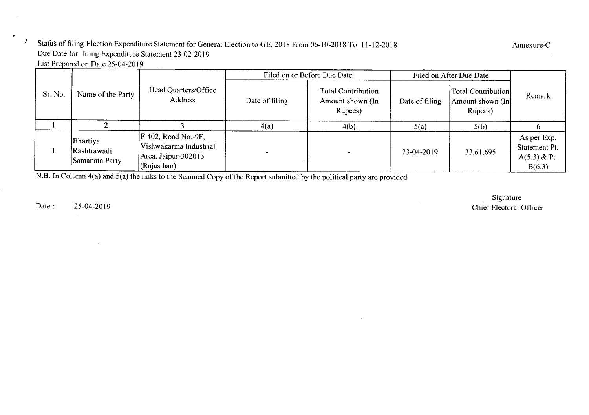### Status of filing Election Expenditure Statement for General Election to GE, 2018 From 06-10-2018 To 11-12-2018 Due Date for filing Expenditure Statement 23-02-2019 List Prepared on Date 25-04-2019

|         |                                           |                                                                                      |                | Filed on or Before Due Date                              | Filed on After Due Date |                                                    |                                                        |
|---------|-------------------------------------------|--------------------------------------------------------------------------------------|----------------|----------------------------------------------------------|-------------------------|----------------------------------------------------|--------------------------------------------------------|
| Sr. No. | Name of the Party                         | Head Quarters/Office<br>Address                                                      | Date of filing | <b>Total Contribution</b><br>Amount shown (In<br>Rupees) | Date of filing          | Total Contribution<br>Amount shown (In)<br>Rupees) | Remark                                                 |
|         |                                           |                                                                                      | 4(a)           | 4(b)                                                     | 5(a)                    | 5(b)                                               |                                                        |
|         | Bhartiya<br>Rashtrawadi<br>Samanata Party | [F-402, Road No.-9F,<br>Vishwakarma Industrial<br>Area, Jaipur-302013<br>(Rajasthan) |                |                                                          | 23-04-2019              | 33,61,695                                          | As per Exp.<br>Statement Pt.<br>A(5.3) & Pt.<br>B(6.3) |

N.B. In Column 4(a) and 5(a) the links to the Scanned Copy of the Report submitted by the political party are provided

Date: 25-04-2019

*I*

Signature Chief Electoral Officer

Annexure-C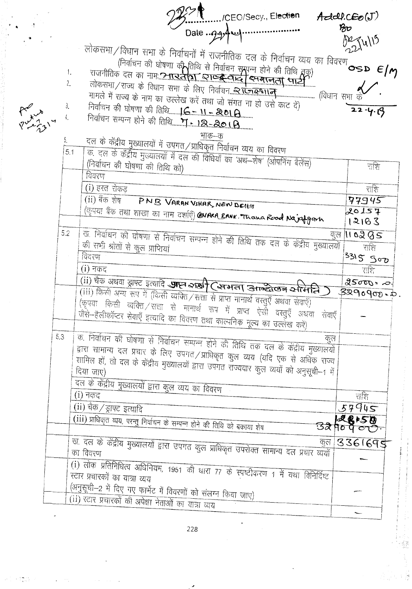|                             |                                                                                                                                                                                                                                                                                                                                                           | Add.CEp(J)            |
|-----------------------------|-----------------------------------------------------------------------------------------------------------------------------------------------------------------------------------------------------------------------------------------------------------------------------------------------------------------------------------------------------------|-----------------------|
|                             |                                                                                                                                                                                                                                                                                                                                                           | $\mathcal{B}$ o       |
| $R_{\nu}^{\nu}$ , $\lambda$ | लोकसभा/विधान सभा के निर्वाचनों में राजनीतिक दल के निर्वाचन व्यय का विवरण $\epsilon/\gamma$<br>(निर्वाचन की घोषणा की तिथि से निर्वाचन समयन्न होने की तिथि तक)<br>राजनीतिक दल का नामः <u>नामः इत्रान्ध्रतिष्ठा व्याप्ट्रस्टिकान्द्र स्मर्गालता सार्ट्</u> टी<br>1.<br>$\tilde{c}$ .<br>मामले में राज्य के नाम का उल्लेख करें तथा जो संगत ना हो उसे काट दें) | 221115<br>$22 - 4.19$ |
|                             | भाक–क<br>5.<br>दल के केंद्रीय मुख्यालयों में उपगत/प्राधिकृत निर्वाचन व्यय का विवरण<br>5.1<br>क. दल के केंद्रीय मुख्यालयों में दल की विधियों का 'अथ—शेष' (ओपनिंग बैलेंस)<br>(निर्वाचन की घोषणा की तिथि को)<br>विवरण                                                                                                                                        | राशि                  |
|                             | (i) हस्त रोकड                                                                                                                                                                                                                                                                                                                                             | राशि                  |
|                             | (ii) बैंक शेष<br>PNB VARAN VIHAR, NEW DEIHT                                                                                                                                                                                                                                                                                                               | 77945                 |
|                             | (कृपया बैंक तथा शाखा का नाम दर्शाएँ) <b>GNARA BANK . Thana Rood Na^Afgam</b>                                                                                                                                                                                                                                                                              | 20157<br>12183        |
|                             | 5.2                                                                                                                                                                                                                                                                                                                                                       | <u>कुल ।। ०२८८ </u>   |
|                             | ख. निर्वाचन की घोषणा से निर्वाचन सम्पन्न होने की तिथि तक दल के केंद्रीय मुख्यालयों<br>की सभी श्रोतों से कुल प्राप्तियां                                                                                                                                                                                                                                   | राशि                  |
|                             | विदरण                                                                                                                                                                                                                                                                                                                                                     | 3315 Soo              |
|                             | $(i)$ नकद                                                                                                                                                                                                                                                                                                                                                 | राशि                  |
|                             |                                                                                                                                                                                                                                                                                                                                                           | $25000 - 0.1$         |
|                             | (ii) चैक अथवा ड्राफ्ट इत्यादि <b>आज्ञ २१३1 (समता उतन्देखन समिति)</b>                                                                                                                                                                                                                                                                                      | $3290900 - 0.$        |
|                             | .<br>(iii) किसी अन्य रूप में (किसी व्यक्ति / सत्ता से प्राप्त मानार्थ वस्तुएँ अथवा सेवाएँ)<br>(कृपया किसी व्यक्ति /सत्ता से मानार्थ रूप में प्राप्त ऐर्सो वस्तुएँ अथवा सेवाएँ  <br>जैसे-हैलीकॉप्टर सेवाएँ इत्यादि का विवरण तथा काल्पनिक मूल्य का उल्लेख करें)                                                                                             |                       |
|                             | 5.3<br>क. निर्वाचन की घोषणा से निर्वाचन सम्पन्न होने की तिथि तक दल के केंद्रीय मुख्यालयों                                                                                                                                                                                                                                                                 |                       |
|                             | द्वारा सामान्य दल प्रचार के लिए उपगत/प्राधिकृत कुल व्यय (यदि एक से अधिक राज्य<br>शामिल हों, तो दल के केंद्रीय मुख्यालयों द्वारा उपगत रॉज्यवार कुल व्ययों को अनुसूची-1 में<br>दल के केंद्रीय मुख्यालयों द्वारा कुल व्यय का विवरण                                                                                                                           |                       |
|                             | (i) नकद                                                                                                                                                                                                                                                                                                                                                   | राशि                  |
|                             | (ii) चैक / ड्राफ्ट इत्यादि                                                                                                                                                                                                                                                                                                                                | 57945                 |
|                             | (iii) प्राधिकृत व्यय, परन्तु निर्वाचन के सम्पन्न होने की तिथि को बकाया शेष                                                                                                                                                                                                                                                                                | 3290000               |
|                             | कल                                                                                                                                                                                                                                                                                                                                                        | 3361695               |
|                             | -<br>ख. दल के केंद्रीय मुख्यालयों द्वारा उपगत कुल प्राधिकृत उपरोक्त सामान्य दल प्रचार व्ययों                                                                                                                                                                                                                                                              |                       |
|                             | (i) लोक प्रतिनिधित्व अधिनियम, 1951 की धारा 77 के स्पष्टीकरण 1 में यथा विनिर्दिष्ट                                                                                                                                                                                                                                                                         |                       |
|                             | स्टार प्रचारकों का यात्रा व्यय                                                                                                                                                                                                                                                                                                                            |                       |
|                             | (अनुसूची-2 में दिए गए फार्मेट में विवरणों को संलग्न किया जाए)                                                                                                                                                                                                                                                                                             |                       |
|                             | (ii) स्टार प्रचारकों की अपेक्षा नेताओं का यात्रा व्यय                                                                                                                                                                                                                                                                                                     |                       |
|                             |                                                                                                                                                                                                                                                                                                                                                           |                       |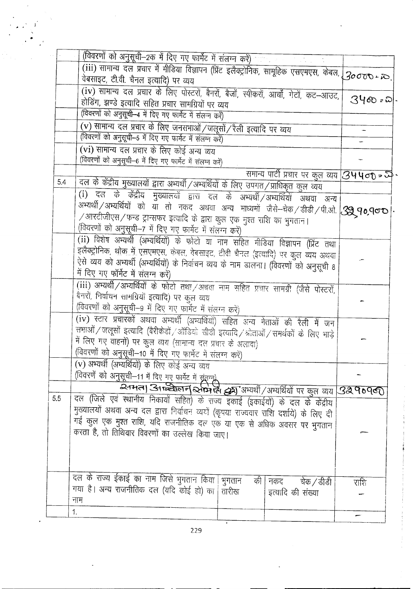|     | (विवरणों को अनुसूची–2क में दिए गए फार्मेट में संलग्न करें)                                                                                                                                                           |       |                                                    |                |
|-----|----------------------------------------------------------------------------------------------------------------------------------------------------------------------------------------------------------------------|-------|----------------------------------------------------|----------------|
|     |                                                                                                                                                                                                                      |       |                                                    |                |
|     | वेबसाइट, टी.वी. चैनल इत्यादि) पर व्यय                                                                                                                                                                                |       |                                                    |                |
|     | (iv) सामान्य दल प्रचार के लिए पोस्टरों, बैनरों, बैजों, स्पीकरों, आर्चों, गेटों, कट-आउट,                                                                                                                              |       |                                                    |                |
|     | होडिंग, झण्डे इत्यादि सहित प्रचार सामग्रियों पर व्यय                                                                                                                                                                 |       |                                                    | 34ඟ <i>ඃ</i> බ |
|     | (विवरणों को अनुसूची-4 में दिए गए फार्मेट में संलग्न करें)                                                                                                                                                            |       |                                                    |                |
|     | (v) सामान्य दल प्रचार के लिए जनसभाओं / जलूसों / रैली इत्यादि पर व्यय                                                                                                                                                 |       |                                                    |                |
|     | (विवरणों को अनुसूची-5 में दिए गए फार्मेट में संलग्न करें)                                                                                                                                                            |       |                                                    |                |
|     | (vi) सामान्य दल प्रचार के लिए कोई अन्य व्यय                                                                                                                                                                          |       |                                                    |                |
|     | (विवरणों को अनुसूची-6 में दिए गए फार्मेट में संलग्न करें)                                                                                                                                                            |       |                                                    |                |
|     |                                                                                                                                                                                                                      |       |                                                    |                |
| 5.4 |                                                                                                                                                                                                                      |       | समान्य पार्टी प्रचार पर कुल व्यय <b>34400 = जे</b> |                |
|     | दल के केंद्रीय मुख्यालयों द्वारा अभ्यर्थी /अभ्यर्थियों के लिए उपगत/प्राधिकृत कुल व्यय                                                                                                                                |       |                                                    |                |
|     | (i) दल के केंद्रीय मुख्यालयों द्वारा दल के अभ्यर्थी/अभ्यर्थियों अथवा अन्य।                                                                                                                                           |       |                                                    |                |
|     | अभ्यर्थी/अभ्यर्थियों को या तो नकद अथवा अन्य माध्यमों जैसे-चेक/डीडी/पी.ओ. <mark>39 90,900</mark>                                                                                                                      |       |                                                    |                |
|     | $\sqrt{3}$ आरटीजीएस $\sqrt{3}$ फन्ड ट्रान्सफर इत्यादि के द्वारा कुल एक मुश्त राशि का भुगतान।                                                                                                                         |       |                                                    |                |
|     | (विवरणों को अनुसूची-7 में दिए गए फार्मेट में संलग्न करें)                                                                                                                                                            |       |                                                    |                |
|     | .<br>(ii) विशेष अभ्यर्थी (अभ्यर्थियों) के फोटो या नाम सहित मीडिया विज्ञापन (प्रिंट तथा)                                                                                                                              |       |                                                    |                |
|     | इलैक्ट्रोनिक, <u>थोक में एसएमए</u> स, केबल, वेबसाइट, टीवी चैनल (इत्यादि) पर कुल व्यय अथवा                                                                                                                            |       |                                                    |                |
|     | ऐसे व्यय को अभ्यर्थी (अभ्यर्थियों) के निर्वाचन व्यय के नाम डालना। (विवरणों को अनुसूची 8                                                                                                                              |       |                                                    |                |
|     | में दिए गए फॉर्मेट में संलग्न करें)                                                                                                                                                                                  |       |                                                    |                |
|     | (iii) अभ्यर्थी / अभ्यर्थियों के फोटो तथा / अथवा नाम सहित प्रचार सामग्री (जैसे पोस्टरों,                                                                                                                              |       |                                                    |                |
|     | बैनरों, निर्वाचन सामग्रियों इत्यादि) पर कुल व्यय                                                                                                                                                                     |       |                                                    |                |
|     | (विवरणों को अनुसूची-9 में दिए गए फार्मेट में संलग्न करें)                                                                                                                                                            |       |                                                    |                |
|     | (iv) स्टार प्रचारकों अथवा अभ्यर्थी (अभ्यर्थियों) सहित अन्य नेताओं की रैली में जन                                                                                                                                     |       |                                                    |                |
|     | सभाओं / जलूसों इत्यादि (बैरीकेडों / ऑडियो सीडी इत्यादि / श्रोताओं / समर्थकों के लिए भाड़े                                                                                                                            |       |                                                    |                |
|     | में लिए गए वाहनों) पर कुल व्यय (सामान्य दल प्रचार के अलावा)                                                                                                                                                          |       |                                                    |                |
|     | (विवरणों को अनुसूची-10 में दिए गए फार्मेट में संलग्न करें)                                                                                                                                                           |       |                                                    |                |
|     | (v) अभ्यर्थी (अभ्यर्थियों) के लिए कोई अन्य व्यय                                                                                                                                                                      |       |                                                    |                |
|     |                                                                                                                                                                                                                      |       |                                                    |                |
|     |                                                                                                                                                                                                                      |       |                                                    |                |
| 5.5 | तिवरणें को अनुसूची-11 में दिए गए फार्मेट में संतान)<br>2- अपने दिराजी के संस्था किया कि संतान करने की अधिकारियों पर कुल व्यय 3290960<br>दल (जिले एवं स्थानीय निकायों सहित) के राज्य इकाई (इकाईयों) के दल के केंद्रीय |       |                                                    |                |
|     | मुख्यालयों अथवा अन्य दल द्वारा निर्वाचन व्ययों (कृपया राज्यवार राशि दर्शाये) के लिए दी                                                                                                                               |       |                                                    |                |
|     | गई कुल एक मुश्त राशि, यदि राजनीतिक दल एक या एक से अधिक अवसर पर भुगतान                                                                                                                                                |       |                                                    |                |
|     | करता है, तो तिथिवार विवरणों का उल्लेख किया जाए।                                                                                                                                                                      |       |                                                    |                |
|     |                                                                                                                                                                                                                      |       |                                                    |                |
|     |                                                                                                                                                                                                                      |       |                                                    |                |
|     |                                                                                                                                                                                                                      |       |                                                    |                |
|     |                                                                                                                                                                                                                      |       |                                                    |                |
|     | दल के राज्य ईकाई का नाम जिसे भुगतान किया  भुगतान                                                                                                                                                                     | की    | चेक / डीडी<br>नकद                                  | राशि           |
|     | गया है। अन्य राजनीतिक दल (यदि कोई हो) का                                                                                                                                                                             | तारीख | इत्यादि की संख्या                                  |                |
|     | नाम                                                                                                                                                                                                                  |       |                                                    |                |
|     | 1 <sub>1</sub>                                                                                                                                                                                                       |       |                                                    |                |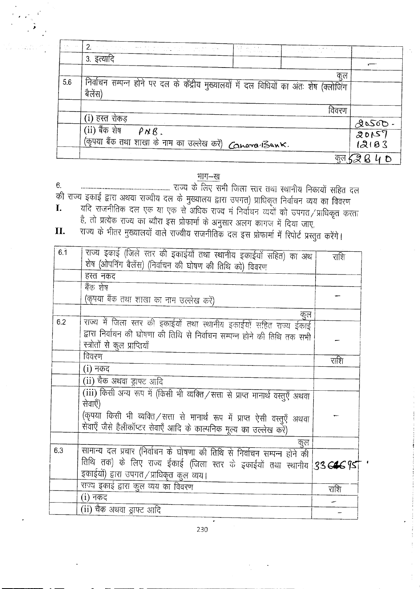| 恐<br>$\sim 0.01$ | $\mathbb{P}2$ , that is the set of the state $\mathbb{P}2$<br><b>Contract</b>                      | $\left\langle \frac{\partial \mathcal{A}}{\partial \mathcal{A}} \right\rangle = \left\langle \mathcal{A} \right\rangle_{\mathcal{A}} \left\langle \mathcal{A} \right\rangle_{\mathcal{A}} \left\langle \mathcal{A} \right\rangle_{\mathcal{A}} = \left\langle \mathcal{A} \right\rangle_{\mathcal{A}} \left\langle \mathcal{A} \right\rangle_{\mathcal{A}} \left\langle \mathcal{A} \right\rangle_{\mathcal{A}}$ | $\label{eq:2.1} \mathcal{L}(\mathcal{L}) = \frac{1}{2} \sum_{i=1}^n \mathcal{L}(\mathcal{L}) \mathcal{L}(\mathcal{L}) = \frac{1}{2} \sum_{i=1}^n \mathcal{L}(\mathcal{L}) \mathcal{L}(\mathcal{L})$ | $\sim$ $\sim$   |
|------------------|----------------------------------------------------------------------------------------------------|------------------------------------------------------------------------------------------------------------------------------------------------------------------------------------------------------------------------------------------------------------------------------------------------------------------------------------------------------------------------------------------------------------------|-----------------------------------------------------------------------------------------------------------------------------------------------------------------------------------------------------|-----------------|
|                  | 3. इत्यादि                                                                                         |                                                                                                                                                                                                                                                                                                                                                                                                                  |                                                                                                                                                                                                     |                 |
|                  |                                                                                                    |                                                                                                                                                                                                                                                                                                                                                                                                                  |                                                                                                                                                                                                     |                 |
|                  |                                                                                                    |                                                                                                                                                                                                                                                                                                                                                                                                                  | कुल                                                                                                                                                                                                 |                 |
| 5.6              | निर्वाचन सम्पन्न होने पर दल के केंद्रीय मुख्यालयों में दल विधियों का अंतः शेष (क्लोजिंग<br>बैलेंस) |                                                                                                                                                                                                                                                                                                                                                                                                                  |                                                                                                                                                                                                     |                 |
|                  |                                                                                                    |                                                                                                                                                                                                                                                                                                                                                                                                                  |                                                                                                                                                                                                     |                 |
|                  |                                                                                                    |                                                                                                                                                                                                                                                                                                                                                                                                                  | विवरण                                                                                                                                                                                               |                 |
|                  | (i) हस्त रोकड़                                                                                     |                                                                                                                                                                                                                                                                                                                                                                                                                  |                                                                                                                                                                                                     |                 |
|                  | (ii) बैंक शेष<br>$PNB$ .                                                                           |                                                                                                                                                                                                                                                                                                                                                                                                                  |                                                                                                                                                                                                     | $20500 - 20057$ |
|                  | (कृपया बैंक तथा शाखा के नाम का उल्लेख करें) <b>Canara Bank.</b>                                    |                                                                                                                                                                                                                                                                                                                                                                                                                  |                                                                                                                                                                                                     | 12183           |
|                  |                                                                                                    |                                                                                                                                                                                                                                                                                                                                                                                                                  |                                                                                                                                                                                                     |                 |

#### भाग-ख

6.

- 
- 

| 6.1 | राज्य इकाई (जिले स्तर की इकाईयों तथा स्थानीय इकाईयों सहित) का अथ                                                                                  | राशि |
|-----|---------------------------------------------------------------------------------------------------------------------------------------------------|------|
|     | शेष (ओपनिंग बैलेंस) (निर्वाचन की घोषण की तिथि को) विवरण                                                                                           |      |
|     | हस्त नकद                                                                                                                                          |      |
|     | बैंक शेष                                                                                                                                          |      |
|     | (कृपया बैंक तथा शाखा का नाम उल्लेख करें)                                                                                                          |      |
|     | कुल                                                                                                                                               |      |
| 6.2 | राज्य में जिला स्तर की इकाईयों तथा स्थानीय इकाईयों सहित राज्य ईकाई                                                                                |      |
|     | द्वारा निर्वाचन की घोषणा की तिथि से निर्वाचन सम्पन्न होने की तिथि तक सभी                                                                          |      |
|     | स्त्रोतों से कुल प्राप्तियाँ                                                                                                                      |      |
|     | विवरण                                                                                                                                             | राशि |
|     | (i) नकद                                                                                                                                           |      |
|     | (ii) चैक अथवा ड्राफ्ट आदि                                                                                                                         |      |
|     | (iii) किसी अन्य रूप में (किसी भी व्यक्ति / सत्ता से प्राप्त मानार्थ वस्तुएँ अथवा<br>सेवाएँ)                                                       |      |
|     | (कृपया किसी भी व्यक्ति / सत्ता से मानार्थ रूप में प्राप्त ऐसी वस्तुएँ अथवा<br>सेवाएँ जैसे हैलीकॉप्टर सेवाएँ आदि के काल्पनिक मूल्य का उल्लेख करें) |      |
|     | कुल                                                                                                                                               |      |
| 6.3 | सामान्य दल प्रचार (निर्वाचन के घोषणा की तिथि से निर्वाचन सम्पन्न होने की                                                                          |      |
|     | तिथि तक) के लिए राज्य ईकाई (जिला स्तर के इकाईयों तथा स्थानीय 33 G4C 9ST                                                                           |      |
|     | इकाईयों) द्वारा उपगत/प्राधिकृत कुल व्यय।                                                                                                          |      |
|     | राज्य इकाई द्वारा कुल व्यय का विवरण                                                                                                               | राशि |
|     | (i) नकद                                                                                                                                           |      |
|     | (ii) चैक अथवा ड्राफ्ट आदि                                                                                                                         |      |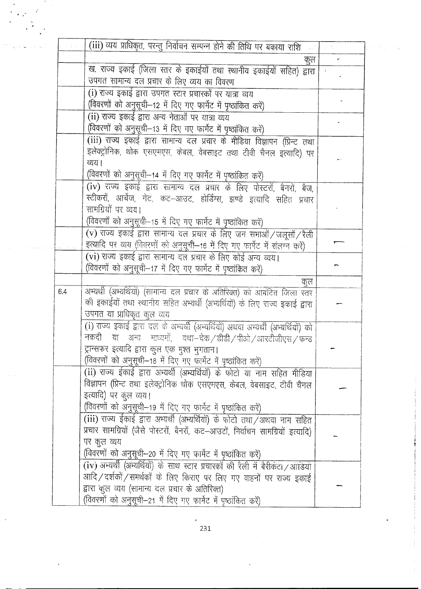|     | (iii) व्यय प्राधिकृत, परन्तु निर्वाचन सम्पन्न होने की तिथि पर बकाया राशि          |  |
|-----|-----------------------------------------------------------------------------------|--|
|     | कुल                                                                               |  |
|     | ख. राज्य इकाई (जिला स्तर के इकाईयों तथा स्थानीय इकाईयों सहित) द्वारा              |  |
|     | उपगत सामान्य दल प्रचार के लिए व्यय का विवरण                                       |  |
|     | (i) राज्य इकाई द्वारा उपगत स्टार प्रचारकों पर यात्रा व्यय                         |  |
|     | (विवरणों को अनुसूची-12 में दिए गए फार्मेट में पृष्ठांकित करें)                    |  |
|     | (ii) राज्य इकाई द्वारा अन्य नेताओं पर यात्रा व्यय                                 |  |
|     | (विवरणों को अनुसूची—13 में दिए गए फार्मेट में पृष्ठांकित करें)                    |  |
|     | (iii) राज्य इकाई द्वारा सामान्य दल प्रचार के मीडिया विज्ञापन (प्रिन्ट तथा         |  |
|     | इलेक्ट्रोनिक, थोक एसएमएस, केबल, वेबसाइट तथा टीवी चैनल इत्यादि) पर                 |  |
|     | व्यय।                                                                             |  |
|     | (विवरणों को अनुसूची-14 में दिए गए फार्मेट में पृष्ठांकित करें)                    |  |
|     | (iv) राज्य इकाई द्वारा सामान्य दल प्रचार के लिए पोस्टरों, बैनरों, बैज,            |  |
|     | स्टीकरों, आर्चेज, गेट, कट-आउट, होर्डिंग्स, झण्डे इत्यादि सहित प्रचार              |  |
|     | सामग्रियों पर व्यय।                                                               |  |
|     | (विवरणों को अनुसूची-15 में दिए गए फार्मेट में पृष्ठांकित करें)                    |  |
|     | (v) राज्य इकाई द्वारा सामान्य दल प्रचार के लिए जन सभाओं / जलूसों / रैली           |  |
|     | इत्यादि पर व्यय (विवरणों को अनुसूची-16 में दिए गए फार्मेट में संलग्न करें)        |  |
|     | (vi) राज्य इकाई द्वारा सामान्य दल प्रचार के लिए कोई अन्य व्यय।                    |  |
|     | (विवरणों को अनुसूची-17 में दिए गए फार्मेट में पृष्ठांकित करें)                    |  |
|     | कूल                                                                               |  |
| 6.4 | अभ्यर्थी (अभ्यर्थियों) (सामान्य दल प्रचार के अतिरिक्त) को आबंटित जिला स्तर        |  |
|     | की इकाईयों तथा स्थानीय सहित अभ्यर्थी (अभ्यर्थियों) के लिए राज्य इकाई द्वारा       |  |
|     | उपगत या प्राधिकृत कुल व्यय                                                        |  |
|     | (i) राज्य इकाई द्वारा दल के अभ्यर्थी (अभ्यर्थियों) अथवा अभ्यर्थी (अभ्यर्थियों) को |  |
|     | नकदी या अन्य माध्यमों, यथा-चेक/डीडी/पीओ/आरटीजीएस/फन्ड                             |  |
|     | ट्रान्सफर इत्यादि द्वारा कुल एक मुश्त भुगतान।                                     |  |
|     | (विवरणों को अनुसूची-18 में दिए गए फार्मेट में पृष्ठांकित करें)                    |  |
|     | (ii) राज्य ईकाई द्वारा अभ्यर्थी (अभ्यर्थियों) के फोटो या नाम सहित मीडिया          |  |
|     | विज्ञापन (प्रिन्ट तथा इलेक्ट्रोनिक थोक एसएमएस, केबल, वेबसाइट, टीवी चैनल           |  |
|     | इत्यादि) पर कुल व्यय।                                                             |  |
|     | (विवरणों को अनुसूची-19 में दिए गए फार्मेट में पृष्ठांकित करें)                    |  |
|     | (iii) राज्य ईकाई द्वारा अभ्यर्थी (अभ्यर्थियों) के फोटो तथा /अथवा नाम सहित         |  |
|     | प्रचार सामग्रियों (जैसे पोस्टरों, बैनरों, कट–आउटों, निर्वाचन सामग्रियों इत्यादि)  |  |
|     | पर कुल व्यय                                                                       |  |
|     | (विवरणों को अनुसूची-20 में दिए गए फार्मेट में पृष्ठांकित करें)                    |  |
|     | (iv) अभ्यर्थी (अभ्यर्थियों) के साथ स्टार प्रचारकों की रैली में बैरीकेटा /आडियो    |  |
|     | आदि / दर्शकों / समर्थकों के लिए किराए पर लिए गए वाहनों पर राज्य इकाई              |  |
|     | द्वारा कुल व्यय (सामान्य दल प्रचार के अतिरिक्त)                                   |  |
|     | (विवरणों को अनुसूची-21 में दिए गए फार्मेट में पृष्ठांकित करें)                    |  |

 $\ddot{\phantom{0}}$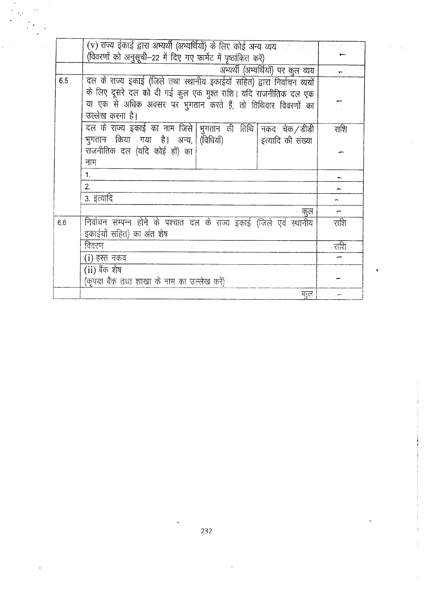|     | (v) राज्य ईकाई द्वारा अभ्यर्थी (अभ्यर्थियों) के लिए कोई अन्य व्यय काल काला का सामाना |      |
|-----|--------------------------------------------------------------------------------------|------|
|     | (विवरणों को अनुसूची-22 में दिए गए फार्मेट में पृष्ठांकित करें)                       |      |
|     | अभ्यर्थी (अभ्यर्थियों) पर कूल व्यय                                                   |      |
| 6.5 | दल के राज्य इकाई (जिले तथा स्थानीय इकाईयों सहित) द्वारा निर्वाचन व्ययों              |      |
|     | के लिए दूसरे दल को दी गई कुल एक मुश्त राशि। यदि राजनीतिक दल एक                       |      |
|     | या एक से अधिक अवसर पर भुगतान करते हैं, तो तिथिवार विवरणों का                         |      |
|     | उल्लेख करना है।                                                                      |      |
|     | दल के राज्य इकाई का नाम जिसे  भुगतान की तिथि   नकद चेक / डीडी                        | राशि |
|     | भुगतान किया गया है। अन्य, (विधियाँ)<br>इत्यादि की संख्या                             |      |
|     | राजनीतिक दल (यदि कोई हों) का                                                         |      |
|     | नाम                                                                                  |      |
|     | 1.                                                                                   |      |
|     | 2.                                                                                   |      |
|     | 3. इत्यादि                                                                           |      |
|     | कुल                                                                                  |      |
| 6.6 | निर्वाचन सम्पन्न होने के पश्चात दल के राज्य इकाई (जिले एवं स्थानीय                   | राशि |
|     | इकाईयों सहित) का अंत शेष                                                             |      |
|     | विवरण                                                                                |      |
|     |                                                                                      | राशि |
|     | (i) हस्त नकद                                                                         |      |
|     | (ii) बैंक शेष                                                                        |      |
|     | (कृपया बैंक तथा शाखा के नाम का उल्लेख करें)                                          |      |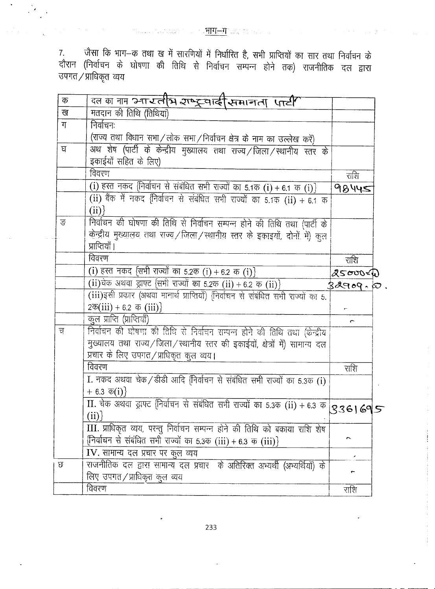$\mathcal{M}^{\text{max}}_{\text{max}}$  , where the compact of the SHH-H provided in the contract of the  $\mathcal{M}^{\text{max}}_{\text{max}}$ 

7. जैसा कि भाग—क तथा ख में सारणियों में निर्धारित है, सभी प्राप्तियों का सार तथा निर्वाचन के<br>दौरान (निर्वाचन के घोषणा की तिथि से निर्वाचन सम्पन्न होने तक) राजनीतिक दल द्वारा उपगत/प्राधिकृत व्यय

| क | क्ल का नाम स्नारतीय राष्ट्रवाई सिमानता पार्टी                                                                                    |         |
|---|----------------------------------------------------------------------------------------------------------------------------------|---------|
| ख | मतदान की तिथि (तिथियां)                                                                                                          |         |
| ग | निर्वाचनः                                                                                                                        |         |
|   | (राज्य तथा विधान सभा / लोक सभा / निर्वाचन क्षेत्र के नाम का उल्लेख करें)                                                         |         |
| घ | अथ शेष (पार्टी के केन्द्रीय मुख्यालय तथा राज्य /जिला /स्थानीय स्तर के                                                            |         |
|   | इकाईयों सहित के लिए)                                                                                                             |         |
|   | विवरण                                                                                                                            | राशि    |
|   | (i) हस्त नकद (निर्वाचन से संबंधित सभी राज्यों का 5.1क (i) + 6.1 क (i) }                                                          | 98445   |
|   | (ii) बैंक में नकद निर्वाचन से संबंधित सभी राज्यों का 5.1क (ii) + 6.1 क                                                           |         |
|   | (ii)                                                                                                                             |         |
| ङ | निर्वाचन की घोषणा की तिथि से निर्वाचन सम्पन्न होने की तिथि तथा (पार्टी के                                                        |         |
|   | केन्द्रीय मुख्यालय तथा राज्य / जिला / स्थानीय स्तर के इकाइयों, दोनों में) कुल                                                    |         |
|   | प्राप्तियाँ ।                                                                                                                    |         |
|   | विवरण                                                                                                                            | राशि    |
|   | (i) हस्त नकद {सभी राज्यों का 5.2क (i) + 6.2 क (i) }                                                                              | 2500000 |
|   | (ii) येक अथवा ड्राफ्ट {सभी राज्यों का 5.2क (ii) + 6.2 क (ii) }                                                                   | 32909.0 |
|   | (iii)इसी प्रकार (अथवा मानार्थ प्राप्तियाँ) {निर्वाचन से संबंधित सभी राज्यों का 5.                                                |         |
|   | $2\overline{\Phi(iii)} + 6.2 \ \overline{\Phi(iii)}$                                                                             |         |
|   | कुल प्राप्ति (प्राप्तियाँ)                                                                                                       |         |
| च | निर्वाचन की घोषणा की तिथि से निर्वाचन सम्पन्न होने की तिथि तथा (केन्द्रीय                                                        |         |
|   | मुख्यालय तथा राज्य/जिला/स्थानीय स्तर की इकाईयों, क्षेत्रों में) सामान्य दल                                                       |         |
|   | प्रचार के लिए उपगत/प्राधिकृत कुल व्यय।                                                                                           |         |
|   | विवरण                                                                                                                            |         |
|   |                                                                                                                                  | राशि    |
|   | I. नकद अथवा चेक / डीडी आदि निर्वाचन से संबंधित सभी राज्यों का 5.3क (i)                                                           |         |
|   | $+ 6.3 \; \overline{\Phi}(i)$                                                                                                    |         |
|   | $\overline{II}$ . चेक अर्थवा ड्राफ्ट (निर्वाचन से संबंधित सभी राज्यों का 5.3क (ii) + 6.3 क $\begin{bmatrix} S & 3 \end{bmatrix}$ |         |
|   | (ii)                                                                                                                             |         |
|   | III. प्राधिकृत व्यय, परन्तु निर्वाचन सम्पन्न होने की तिथि को बकाया राशि शेष                                                      |         |
|   | {निर्वाचन से संबंधित सभी राज्यों का 5.3क (iii) + 6.3 क (iii)}                                                                    |         |
|   | IV. सामान्य दल प्रचार पर कुल व्यय                                                                                                |         |
| Ø | राजनीतिक दल द्वारा सामान्य दल प्रचार के अतिरिक्त अभ्यर्थी (अभ्यर्थियों) के                                                       |         |
|   | लिए उपगत/प्राधिकृत कुल व्यय                                                                                                      |         |
|   | विवरण                                                                                                                            | राशि    |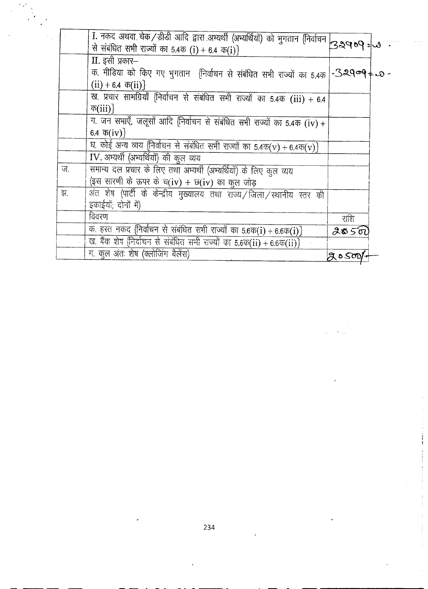|    | 1. नकद अथवा चेक/डीडी आदि द्वारा अभ्यर्थी (अभ्यर्थियों) को भुगतान (निर्वाचन 32909=3               |         |  |
|----|--------------------------------------------------------------------------------------------------|---------|--|
|    | से संबंधित सभी राज्यों का 5.4क (i) + 6.4 क(i)}                                                   |         |  |
|    | II. इसी प्रकार-                                                                                  |         |  |
|    | क. मीडिया को किए गए भुगतान (निर्वाचन से संबंधित सभी राज्यों का 5.4क $\sim$ 329&9 $\neq$ 0 $\sim$ |         |  |
|    | $(ii) + 6.4 \; \overline{\Phi}(ii)$                                                              |         |  |
|    | ख. प्रचार सामग्रियाँ {निर्वाचन से संबंधित सभी राज्यों का 5.4क (iii) + 6.4                        |         |  |
|    | $\overline{\Phi(iii)}$                                                                           |         |  |
|    | ग. जन सभाएँ, जलूसों आदि (निर्वाचन से संबंधित सभी राज्यों का 5.4क (iv) +                          |         |  |
|    | 6.4 $\bar{\Phi}(iv)$                                                                             |         |  |
|    | घ. कोई अन्य व्यय (निर्वाचन से संबंधित सभी राज्यों का 5.4क(v) + 6.4क(v)}                          |         |  |
|    | IV. अभ्यर्थी (अभ्यर्थियों) की कुल व्यय                                                           |         |  |
| ज. | समान्य दल प्रचार के लिए तथा अभ्यर्थी (अभ्यर्थियों) के लिए कुल व्यय                               |         |  |
|    | (इस सारणी के ऊपर के च(iv) + छ(iv) का कुल जोड़                                                    |         |  |
| झ. | अंत शेष (पार्टी के केन्द्रीय मुख्यालय तथा राज्य/जिला/स्थानीय स्तर की                             |         |  |
|    | इकाईयों; दोनों में)                                                                              |         |  |
|    | विवरण                                                                                            | राशि    |  |
|    | क. हस्त नकद निर्वाचन से संबंधित सभी राज्यों का 5.6क(i) + 6.6क(i) }                               | ९४५ २ छ |  |
|    | ख. बैंक शेष निर्वाचन से संबंधित सभी राज्यों का 5.6क(ii) + 6.6क(ii)}                              |         |  |
|    | ग. कूल अंतः शेष (क्लोजिंग बैलेंस)                                                                | grosoop |  |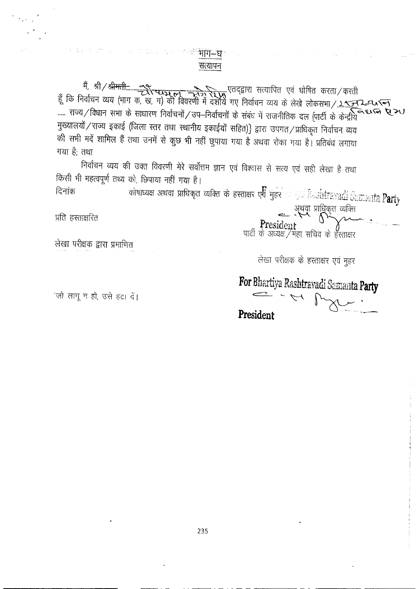## <sup>ः ः भाग</sub>−घ</sup> सत्यापन

मुख्यालयों / राज्य इकाई (जिला स्तर तथा स्थानीय इकाईयों सहित)} द्वारा उपगत / प्राधिकृत निर्वाचन व्यय की सभी मदें शामिल हैं तथा उनमें से कुछ भी नहीं छुपाया गया है अथवा रोका गया है। प्रतिबंध लगाया गया है; तथा

निर्वाचन व्यय की उक्त विवरणी मेरे सर्वोत्तम ज्ञान एवं विश्वास से सत्य एवं सही लेखा है तथा किसी भी महत्वपूर्ण तथ्य को, छिपाया नहीं गया है।

कोषाध्यक्ष अथवा प्राधिकृत व्यक्ति के हस्ताक्षर एवं मुहर $\sim 100$ ि विदेशेरी द्वारा प्रति  $\rm{Party}$ दिनांक अथवा प्राधिकृत व्यक्ति<br>President<br>पार्टी के अध्यक्ष / महा सचिव के हस्ताक्षर

प्रति हस्ताक्षरित

लेखा परीक्षक द्वारा प्रमाणित

लेखा परीक्षक के हस्ताक्षर एवं मुहर

For Bhartiya Rashtravadi Samanta Party  $\frac{1}{\sqrt{2}}$ 

'जो लागू न हो, उसे हटा दें।

President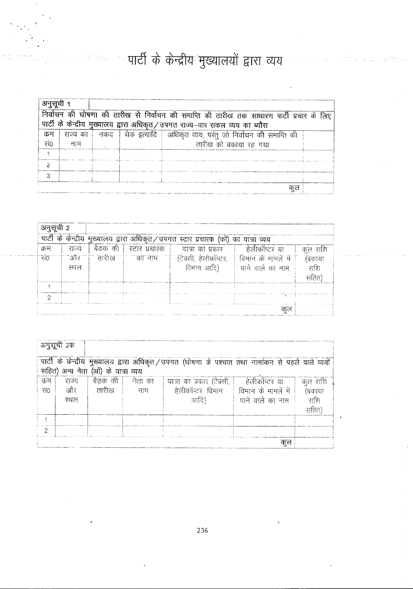# <u>स्था पार्टी के केन्द्रीय मुख्यालयों द्वारा व्यय</u>

|      | निर्वाचन की घोषणा की तारीख से निर्वाचन की समाप्ति की तारीख तक साधारण पार्टी प्रचार के लिए |  |  |                                                                             |  |  |  |  |
|------|-------------------------------------------------------------------------------------------|--|--|-----------------------------------------------------------------------------|--|--|--|--|
|      | पार्टी के केन्द्रीय मुख्यालय द्वारा अधिकृत/उपगत राज्य--वार सकल व्यय का ब्यौरा             |  |  |                                                                             |  |  |  |  |
| कम   |                                                                                           |  |  | राज्य का   नकद   चेक इत्यादि   अधिकृत व्यय, परंतु जो निर्वाचन की समाप्ति की |  |  |  |  |
| रां0 | नाम                                                                                       |  |  | तारीख को बकाया रह गया                                                       |  |  |  |  |
|      |                                                                                           |  |  |                                                                             |  |  |  |  |
|      |                                                                                           |  |  |                                                                             |  |  |  |  |
|      |                                                                                           |  |  |                                                                             |  |  |  |  |
|      |                                                                                           |  |  |                                                                             |  |  |  |  |

| अनुसची 2 |       |         |               |                                                                                   |                     |         |
|----------|-------|---------|---------------|-----------------------------------------------------------------------------------|---------------------|---------|
|          |       |         |               | पार्टी के केन्द्रीय मुख्यालय द्वारा अधिकृत/उपगत स्टार प्रचारक (को) का यात्रा व्यय |                     |         |
| क्रम     | राज्य | बैठक की | स्टार प्रचारक | यात्रा का प्रकार                                                                  | हेलीकॉप्टर या       | कल राशि |
| संठ      | और    | तारीख   | का नाम        | (टैक्सी, हेलीकॉप्टर,                                                              | विमान के मामलें में | बकाया   |
|          | स्थल  |         |               | विमान आदि)                                                                        | पाने वाले का नाम    | राशि    |
|          |       |         |               |                                                                                   |                     | सहित्र' |
|          |       |         |               |                                                                                   |                     |         |
|          |       |         |               |                                                                                   |                     |         |
|          | कल    |         |               |                                                                                   |                     |         |

|           | अनुसूची 2क                                                                                                                              |                   |                  |                                                                        |                                         |                                        |  |
|-----------|-----------------------------------------------------------------------------------------------------------------------------------------|-------------------|------------------|------------------------------------------------------------------------|-----------------------------------------|----------------------------------------|--|
|           | पार्टी के केन्द्रीय मुख्यालय द्वारा अधिकृत/उपगत (घोषणा के पश्चात तथा नामांकन से पहले वाले व्ययों<br>सहित) अन्य नेता (ओं) के यात्रा व्यय |                   |                  |                                                                        |                                         |                                        |  |
| कम<br>सं० | राज्य<br>और<br>स्थल                                                                                                                     | बैठक की<br>तारीरव | ं नेता का<br>नाम | यात्रा का प्रकार (टैक्सी, जिल्लीकॉप्टर या<br>हेलीकॉप्टर, विमान<br>आदि) | विमान के मामलें में<br>पाने वाले का नाम | कूल राशि<br>(बकाया<br>राष्ट्री<br>सहित |  |
| 2         |                                                                                                                                         |                   |                  |                                                                        |                                         |                                        |  |
|           | कल                                                                                                                                      |                   |                  |                                                                        |                                         |                                        |  |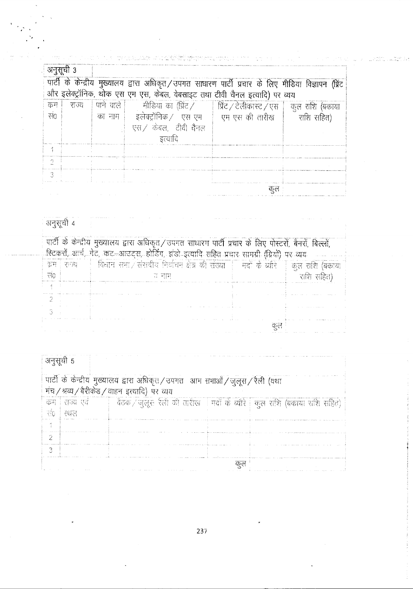| अनुसूची 3 |       | पार्टी के केन्द्रीय मुख्यालय द्वारा अधिकृत/उपगत साधारण पार्टी प्रचार के लिए मीडिया विज्ञापन (प्रिंट<br>और इलेक्ट्रॉनिक, थोक एस एम एस, केबल, वेबसाइट तथा टीवी चैनल इत्यादि) पर व्यय |     |  |
|-----------|-------|------------------------------------------------------------------------------------------------------------------------------------------------------------------------------------|-----|--|
| कम        | राज्य | पाने वाले   सीडिया का (प्रिंट /   प्रिंट / टेलीकास्ट / एस   कुल राशि (बकाया                                                                                                        |     |  |
| सं0       |       | का नाम   इलेक्ट्रॉनिक / एस एम   एम एस की तारीख   राशि सहित)<br>एस./ केबल, टीवी चैनल<br>इत्यादि                                                                                     |     |  |
|           |       |                                                                                                                                                                                    |     |  |
|           |       |                                                                                                                                                                                    |     |  |
| 3         |       |                                                                                                                                                                                    |     |  |
|           |       |                                                                                                                                                                                    | কনে |  |

# ्<br>अनुसूची 4

|     | पार्टी के केन्द्रीय मुख्यालय द्वारा अधिकृत/उपगत साधारण पार्टी प्रचार के लिए पोस्टरों, बैनरों, बिल्लों,<br>स्टिकरों, आर्च, गेट, कट—आउट्स, होर्डिंग, झंडो-इत्यादि सहित प्रचार सामग्री (ग्रियों) पर व्यय |                                                                             |  |                   |  |  |  |  |
|-----|-------------------------------------------------------------------------------------------------------------------------------------------------------------------------------------------------------|-----------------------------------------------------------------------------|--|-------------------|--|--|--|--|
|     |                                                                                                                                                                                                       | कम   राज्य   विधान सभा / संसदीय निर्वाचन क्षेत्र की संख्या   मदों के व्यारे |  | ं। कल सांश (बकाया |  |  |  |  |
| ਚੰਨ |                                                                                                                                                                                                       | रा नाम                                                                      |  | राशि सहित)        |  |  |  |  |
|     |                                                                                                                                                                                                       |                                                                             |  |                   |  |  |  |  |
|     |                                                                                                                                                                                                       |                                                                             |  |                   |  |  |  |  |
|     |                                                                                                                                                                                                       |                                                                             |  |                   |  |  |  |  |
|     |                                                                                                                                                                                                       |                                                                             |  |                   |  |  |  |  |

| अनुसूची 5 |                              |                                          |                                                                            |    |  |
|-----------|------------------------------|------------------------------------------|----------------------------------------------------------------------------|----|--|
|           |                              | मंच/श्रव्य/बैरीकेड/वाहन इत्यादि) पर व्यय | पार्टी के केन्द्रीय मुख्यालय द्वारा अधिकृत/उपगत-आम सभाओं/जुलूस/रैली (यथा   |    |  |
|           | कम   राज्य एवं<br>सं6 ! स्थल |                                          | ेवैठक / जुलूर: रैली की तारीख   मदों के व्योरे   कुल राशि (बकाया राशि सहित) |    |  |
|           |                              |                                          |                                                                            |    |  |
| 2         |                              |                                          |                                                                            |    |  |
| Q.        |                              |                                          |                                                                            |    |  |
|           |                              |                                          |                                                                            | कल |  |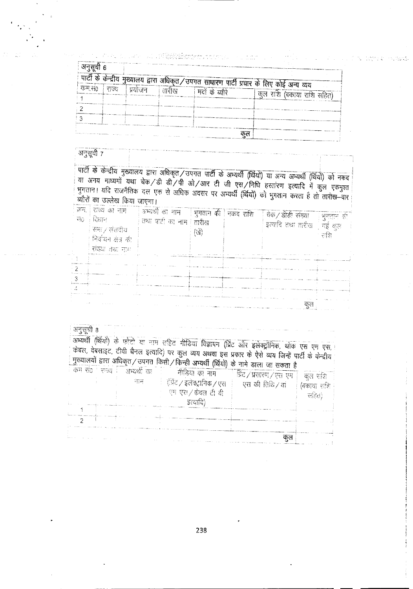| अनसर्वी 6 |        |         |       |                      |                                                                                           |
|-----------|--------|---------|-------|----------------------|-------------------------------------------------------------------------------------------|
|           |        |         |       |                      | पार्टी के केन्द्रीय मुख्यालय द्वारा अधिकृत/उपगत साधारण पार्टी प्रचार के लिए कोई अन्य व्यय |
| कम सं0    | िराज्य | प्रयोजन | तारीख | मदों के <i>चो</i> रे |                                                                                           |
|           |        |         |       |                      | कल राशि (बकाया राशि सहित)                                                                 |
|           |        |         |       |                      |                                                                                           |
|           |        |         |       |                      |                                                                                           |
|           |        |         |       |                      |                                                                                           |
|           |        |         |       |                      |                                                                                           |

### अनुसूची 7

पार्टी के केन्द्रीय मुख्यालय द्वारा अधिकृत/उपगत पार्टी के अभ्यर्थी (थियों) या अन्य अभ्यर्थी (थियों) को नकद या अनय माध्यमों यथा चेक/डी डी/पी ओ/आर टी जी एस/निधि हस्तारण इत्यादि में कुल एकमुश्त भुगतान। यदि राजनैतिक दल एक से अधिक अवसर पर अभ्यर्थी (र्थियों) को भुगतान करता है तो तारीख-वार .<br>ब्यौरों का उल्लेख किया जाएगा।

| - 710 | ज़न्म, । राज्य का नाम<br>विधान<br>सभा / संसदीय<br>। निर्वाचन क्षेत्र की | अभ्यर्थी का नाम   भुगतान की   नकद राशि<br>तथा पारी का नाम । तारीख | ख। | चेक / डीडी संख्या<br>इत्यादि तथा तारीख   गई कुल | ं भुगतान की<br>राशि |
|-------|-------------------------------------------------------------------------|-------------------------------------------------------------------|----|-------------------------------------------------|---------------------|
|       | संख्या तथा माम                                                          |                                                                   |    |                                                 |                     |
|       |                                                                         |                                                                   |    |                                                 |                     |
|       |                                                                         |                                                                   |    | CD 64                                           |                     |

अनुसूची 8

अभ्यर्थी (र्थियों) के फोटो या नाम सहित गीडिया विज्ञापन (प्रिंट ओर इलेक्ट्रॉनिक, थोक एस एम एस, । केबल, वेबसाइट, टीवी चैनल इत्यादि) पर कुल व्यय अथवा इस प्रकार के ऐसे व्यय जिन्हें पार्टी के केन्द्रीय मुख्यालयों द्वारा अधिकृत / उपगत किसी / किन्ही अभ्यर्थी (र्थियो) के नामे डाला जा सकता है

|  |  | ं कम संत । सम्राज | अभ्यर्थी का |                              |                                         |                |
|--|--|-------------------|-------------|------------------------------|-----------------------------------------|----------------|
|  |  |                   |             | मीडिया का नाम                | ्प्रिंट ∕ प्रसारण ∕ एस. एम <sup>ः</sup> | कत राशि        |
|  |  |                   | नाम         | ं(प्रिंट ∕ इलेक्ट्रानिक ∕ एस | एस की तिथि / यां                        | (बकाया शक्ति । |
|  |  |                   |             | एम एस./केवल टी बी            |                                         | सहित)          |
|  |  |                   |             | डत्यादि)                     |                                         |                |
|  |  |                   |             |                              |                                         |                |
|  |  |                   |             |                              |                                         |                |
|  |  |                   |             |                              |                                         |                |
|  |  |                   |             |                              | 7) ल                                    |                |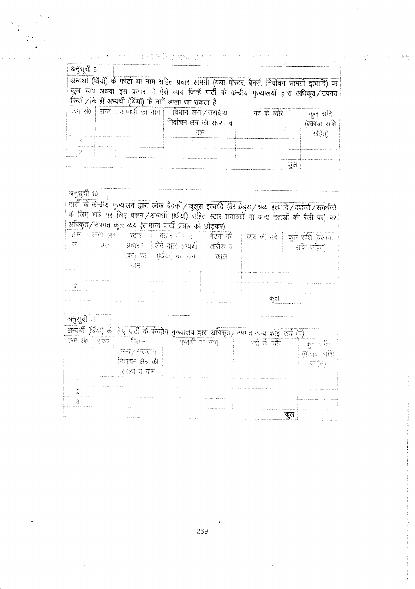| अनुसूची ९ |                                                                                                                                                           |  |                                                                                                       |               |             |  |  |  |
|-----------|-----------------------------------------------------------------------------------------------------------------------------------------------------------|--|-------------------------------------------------------------------------------------------------------|---------------|-------------|--|--|--|
|           |                                                                                                                                                           |  | अभ्यर्थी (थियों) के फोटो या नाम सहित प्रचार सामग्री (यथा पोस्टर, बैनर्स, निर्वाचन सामग्री इत्यादि) पर |               |             |  |  |  |
|           | कुल व्यय अथवा इस प्रकार के ऐसे व्यय जिन्हें पार्टी के केन्द्रीय मुख्यालयों द्वारा अधिकृत/उपगत<br>किसी/किन्हीं अभ्यर्थी (र्थियों) के नामें डाला जा सकता है |  |                                                                                                       |               |             |  |  |  |
|           |                                                                                                                                                           |  | क्रम सं० राज्य   अभ्यर्थी का नाम   विधान सभा / संसदीय                                                 | मद के ब्याँरे | कूल राशि    |  |  |  |
|           |                                                                                                                                                           |  | निर्वाचन क्षेत्र की संख्या व                                                                          |               | (वकाया राशि |  |  |  |
|           |                                                                                                                                                           |  | नाम                                                                                                   |               | सहित)       |  |  |  |
|           |                                                                                                                                                           |  |                                                                                                       |               |             |  |  |  |
|           |                                                                                                                                                           |  |                                                                                                       |               |             |  |  |  |
|           |                                                                                                                                                           |  |                                                                                                       |               |             |  |  |  |

 $\frac{1}{2}\frac{1}{2}\frac{\lambda_1}{2}$ 

| अनुसूची 10 |     | अधिकृत/उपगत कुल व्यय (सामान्य पार्टी प्रचार को छोड़कर) |     |      | पार्टी के केन्द्रीय मुख्यालय द्वारा लोक बैठकों / जुलूस इत्यादि (बैरीकेड्स / श्रव्य इत्यादि / दर्शकों / समर्थको<br>के लिए भाड़े पर लिए वाहन/अभ्यर्थी (थियों) सहित स्टार प्रचारकों या अन्य नेताओं की रैली पर) पर |
|------------|-----|--------------------------------------------------------|-----|------|----------------------------------------------------------------------------------------------------------------------------------------------------------------------------------------------------------------|
|            |     | क्रम । राज्य और । रसार । वेठक में भाग । बैठक की        |     |      | व्यय की मदें   कुल राशि (बकाया                                                                                                                                                                                 |
|            |     | सं0 स्थल   प्रचारक लिने वाले अभ्यर्थी   तारीख व        |     |      | राशि सहित)                                                                                                                                                                                                     |
|            |     | ाकीं) का : (र्थियों) का नाम ।                          | रशल |      |                                                                                                                                                                                                                |
|            | नाम |                                                        |     |      |                                                                                                                                                                                                                |
|            |     |                                                        |     |      |                                                                                                                                                                                                                |
|            |     |                                                        |     |      |                                                                                                                                                                                                                |
|            |     |                                                        |     | ণু প |                                                                                                                                                                                                                |

| अनुसूची 11 |        |                                                            |                                                                                              |              |                                  |
|------------|--------|------------------------------------------------------------|----------------------------------------------------------------------------------------------|--------------|----------------------------------|
|            |        |                                                            | अभ्यर्थी (थियो) के लिए पार्टी के केन्द्रीय मुख्यालय द्वारा अधिकृत / उपगत अन्य कोई खर्च (चें) |              |                                  |
| क्रम संत   | - ਵਿਚਲ | निशास<br>सभा / संसदीय<br>निर्वाचन क्षेत्र की<br>सरया व नाम | ाक्षस्यर्थी का माग                                                                           | ादों के चोरे | ाहत राशि<br>(वकाया राशि<br>सहित) |
|            |        |                                                            |                                                                                              |              |                                  |
|            |        |                                                            |                                                                                              |              |                                  |

239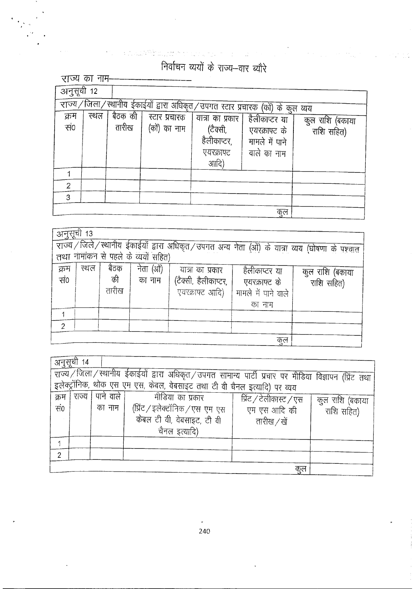निर्वाचन व्ययों के राज्य-वार ब्यौरे

 $\mathcal{L}_{\text{eff}}$ 

 $\label{eq:2.1} \frac{\partial \mathrm{d} \theta}{\partial \mathrm{d} \theta} = \frac{1}{2} \frac{\partial \mathrm{d} \theta}{\partial \theta} + \frac{1}{2} \frac{\partial \mathrm{d} \theta}{\partial \theta} + \frac{1}{2} \frac{\partial \mathrm{d} \theta}{\partial \theta} + \frac{1}{2} \frac{\partial \mathrm{d} \theta}{\partial \theta} + \frac{1}{2} \frac{\partial \mathrm{d} \theta}{\partial \theta} + \frac{1}{2} \frac{\partial \mathrm{d} \theta}{\partial \theta} + \frac{1}{2} \frac{\partial \mathrm{d} \theta}{\partial \theta} + \frac{1}{2} \frac{\partial \mathrm$ 

|                | राज्य का नाम-                                                                 |         |               |                                  |                |                 |  |  |  |
|----------------|-------------------------------------------------------------------------------|---------|---------------|----------------------------------|----------------|-----------------|--|--|--|
| अनुसूची 12     |                                                                               |         |               |                                  |                |                 |  |  |  |
|                | राज्य/जिला/स्थानीय ईकाईयों द्वारा अधिकृत/उपगत स्टार प्रचारक (कों) के कुल व्यय |         |               |                                  |                |                 |  |  |  |
| क्रम           | स्थल                                                                          | बैठक की | स्टार प्रचारक |                                  |                |                 |  |  |  |
|                |                                                                               |         |               | यात्रा का प्रकार   हैलीकाप्टर या |                | कुल राशि (बकाया |  |  |  |
| सं0            |                                                                               | तारीख   | (कों) का नाम  | (टैक्सी,                         | एयरक्राफ्ट के  | राशि सहित)      |  |  |  |
|                |                                                                               |         |               | हैलीकाप्टर,                      | मामले में पाने |                 |  |  |  |
|                |                                                                               |         |               | एयरक्राफ्ट                       | वाले का नाम    |                 |  |  |  |
|                |                                                                               |         |               | आदि)                             |                |                 |  |  |  |
|                |                                                                               |         |               |                                  |                |                 |  |  |  |
| $\overline{2}$ |                                                                               |         |               |                                  |                |                 |  |  |  |
| 3              |                                                                               |         |               |                                  |                |                 |  |  |  |
|                |                                                                               |         |               |                                  |                |                 |  |  |  |
|                |                                                                               |         |               |                                  | कुल            |                 |  |  |  |

|             | अनुसूची 13<br>राज्य/जिले/स्थानीय ईकाईयों द्वारा अधिकृत/उपगत अन्य नेता (ओं) के यात्रा व्यय (घोषणा के पश्चात<br>तथा नामांकन से पहले के व्ययों सहित) |                     |                     |                                                             |                                                                 |                               |  |  |  |
|-------------|---------------------------------------------------------------------------------------------------------------------------------------------------|---------------------|---------------------|-------------------------------------------------------------|-----------------------------------------------------------------|-------------------------------|--|--|--|
|             |                                                                                                                                                   |                     |                     |                                                             |                                                                 |                               |  |  |  |
| क्रम<br>सं0 | स्थल                                                                                                                                              | बैठक<br>की<br>तारीख | नेता (ओं)<br>का नाम | यात्रा का प्रकार<br>(टैक्सी, हैलीकाप्टर,<br>एयरक्राफ्ट आदि) | हैलीकाप्टर या<br>एयरक्राफ्ट के<br>मामले में पाने वाले<br>का नाम | कुल राशि (बकाया<br>राशि सहित) |  |  |  |
|             |                                                                                                                                                   |                     |                     |                                                             |                                                                 |                               |  |  |  |
| っ           |                                                                                                                                                   |                     |                     |                                                             |                                                                 |                               |  |  |  |
|             |                                                                                                                                                   |                     |                     |                                                             | कुल                                                             |                               |  |  |  |

| अनुसूचा |                                                                                                          |           |                                                                           |                         |                 |  |  |  |  |
|---------|----------------------------------------------------------------------------------------------------------|-----------|---------------------------------------------------------------------------|-------------------------|-----------------|--|--|--|--|
|         | राज्य / जिला / स्थानीय ईकाईयों द्वारा अधिकृत / उपगत सामान्य पार्टी प्रचार पर मीडिया विज्ञापन (प्रिंट तथा |           |                                                                           |                         |                 |  |  |  |  |
|         |                                                                                                          |           | इलेक्ट्रॉनिक, थोक एस एम एस, केबल, वेबसाइट तथा टी वी चैनल इत्यादि) पर व्यय |                         |                 |  |  |  |  |
| क्रम    | राज्य                                                                                                    | पाने वाले | मीडिया का प्रकार                                                          | प्रिंट / टेलीकास्ट / एस | कुल राशि (बकाया |  |  |  |  |
| सं0     |                                                                                                          | का नाम    | (प्रिंट / इलेक्टॉनिक / एस) एम एस                                          | एम एस आदि की            | राशि सहित)      |  |  |  |  |
|         |                                                                                                          |           | केबल टी वी, वेबसाइट, टी वी                                                | तारीख /खें              |                 |  |  |  |  |
|         |                                                                                                          |           | चैनल इत्यादि)                                                             |                         |                 |  |  |  |  |
|         |                                                                                                          |           |                                                                           |                         |                 |  |  |  |  |
| っ       |                                                                                                          |           |                                                                           |                         |                 |  |  |  |  |
|         | कुल                                                                                                      |           |                                                                           |                         |                 |  |  |  |  |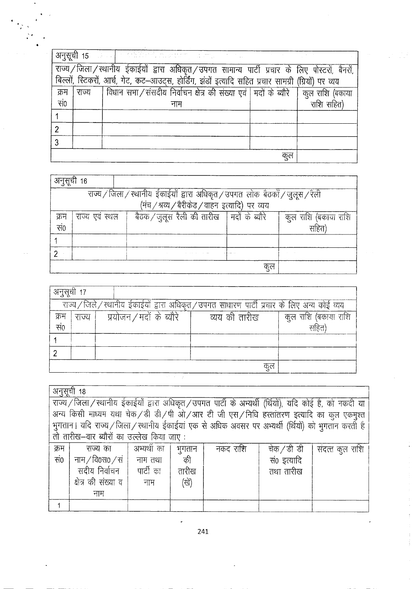|                 |                                                                                              | $\frac{\partial \overline{H} \overline{H} \overline{d}}{\partial t}$ 15 $\left\{ \left\{ \left( \left( \left( \frac{1}{2} \right) \right) \left( \left( \frac{1}{2} \right) \right) \left( \left( \frac{1}{2} \right) \right) \left( \left( \frac{1}{2} \right) \right) \left( \left( \frac{1}{2} \right) \right) \left( \left( \frac{1}{2} \right) \right) \left( \left( \frac{1}{2} \right) \right) \left( \left( \frac{1}{2} \right) \right) \left( \left( \frac{1}{2} \right) \right) \left( \left$ |  |            |  |  |  |  |  |
|-----------------|----------------------------------------------------------------------------------------------|---------------------------------------------------------------------------------------------------------------------------------------------------------------------------------------------------------------------------------------------------------------------------------------------------------------------------------------------------------------------------------------------------------------------------------------------------------------------------------------------------------|--|------------|--|--|--|--|--|
|                 | राज्य/जिला/स्थानीय ईकाईयों द्वारा अधिकृत/उपगत सामान्य पार्टी प्रचार के लिए पोस्टरों, बैनरों, |                                                                                                                                                                                                                                                                                                                                                                                                                                                                                                         |  |            |  |  |  |  |  |
|                 |                                                                                              | बिल्लों, स्टिकरों, आर्च, गेट, कट-आउट्स, होर्डिंग, झंडों इत्यादि सहित प्रचार सामग्री (ग्रियों) पर व्यय                                                                                                                                                                                                                                                                                                                                                                                                   |  |            |  |  |  |  |  |
| क्रम            | राज्य                                                                                        | विधान सभा / संसदीय निर्वाचन क्षेत्र की संख्या एवं   मदों के ब्यौरे   कुल राशि (बकाया                                                                                                                                                                                                                                                                                                                                                                                                                    |  |            |  |  |  |  |  |
| $\overline{H}0$ |                                                                                              | नाम                                                                                                                                                                                                                                                                                                                                                                                                                                                                                                     |  | राशि सहित) |  |  |  |  |  |
|                 |                                                                                              |                                                                                                                                                                                                                                                                                                                                                                                                                                                                                                         |  |            |  |  |  |  |  |
|                 |                                                                                              |                                                                                                                                                                                                                                                                                                                                                                                                                                                                                                         |  |            |  |  |  |  |  |
|                 |                                                                                              |                                                                                                                                                                                                                                                                                                                                                                                                                                                                                                         |  |            |  |  |  |  |  |
|                 |                                                                                              |                                                                                                                                                                                                                                                                                                                                                                                                                                                                                                         |  |            |  |  |  |  |  |

|                                                                               | अनुसूची 16                                                                            |                                                 |  |      |  |  |  |  |  |
|-------------------------------------------------------------------------------|---------------------------------------------------------------------------------------|-------------------------------------------------|--|------|--|--|--|--|--|
| राज्य / जिला / स्थानीय ईकाईयों द्वारा अधिकृत / उपगत लोक बैठकों / जुलूस / रैली |                                                                                       |                                                 |  |      |  |  |  |  |  |
|                                                                               |                                                                                       | (मंच / श्रव्य / बैरीकेड / वाहन)इत्यादि) पर व्यय |  |      |  |  |  |  |  |
| क्रम                                                                          | बैठक / जुलूस रैली की तारीख   मदों के ब्यौरे<br>कुल राशि (बकाया राशि<br>राज्य एवं स्थल |                                                 |  |      |  |  |  |  |  |
| सं0                                                                           |                                                                                       |                                                 |  | सहित |  |  |  |  |  |
|                                                                               |                                                                                       |                                                 |  |      |  |  |  |  |  |
|                                                                               |                                                                                       |                                                 |  |      |  |  |  |  |  |
| फुल                                                                           |                                                                                       |                                                 |  |      |  |  |  |  |  |

| अनुसूची 17                                                                              |       |                          |               |                      |  |  |  |  |
|-----------------------------------------------------------------------------------------|-------|--------------------------|---------------|----------------------|--|--|--|--|
| राज्य/जिले/स्थानीय ईकाईयों द्वारा अधिकृत/उपगत साधारण पार्टी प्रचार के लिए अन्य कोई व्यय |       |                          |               |                      |  |  |  |  |
| क्रम                                                                                    | राज्य | प्रयोजन / मदों के ब्यौरे | व्यय की तारीख | कुल राशि (बकाया राशि |  |  |  |  |
| सं०                                                                                     |       |                          |               | सहित)                |  |  |  |  |
|                                                                                         |       |                          |               |                      |  |  |  |  |
|                                                                                         |       |                          |               |                      |  |  |  |  |
|                                                                                         |       |                          | कुल           |                      |  |  |  |  |

|      | अनुसूची 18                                                                                               |             |        |          |             |                 |  |  |  |
|------|----------------------------------------------------------------------------------------------------------|-------------|--------|----------|-------------|-----------------|--|--|--|
|      | राज्य / जिला / स्थानीय ईकाईयों द्वारा अधिकृत / उपगत पार्टी के अभ्यर्थी (र्थियों), यदि कोई है, को नकदी या |             |        |          |             |                 |  |  |  |
|      | अन्य किसी माध्यम यथा चेक/डी डी/पी ओ/आर टी जी एस/निधि हस्तांतरण इत्यादि का कुल एकमुश्त                    |             |        |          |             |                 |  |  |  |
|      | भुगतान। यदि राज्य / जिला / स्थानीय ईकाईयां एक से अधिक अवसर पर अभ्यर्थी (र्थियों) को भुगतान करती है       |             |        |          |             |                 |  |  |  |
|      | तो तारीख-वार ब्यौरों का उल्लेख किया जाए:                                                                 |             |        |          |             |                 |  |  |  |
| क्रम | राज्य का                                                                                                 | अभ्यर्थी का | भुगतान | नकद राशि | चेक/डी डी   | संदत्त कुल राशि |  |  |  |
| सं०  | नाम/वि0स0/सं   नाम तथा                                                                                   |             | की     |          | सं0 इत्यादि |                 |  |  |  |
|      | सदीय निर्वाचन   पार्टी का<br>तारीख<br>तथा तारीख                                                          |             |        |          |             |                 |  |  |  |
|      | क्षेत्र की संख्या व<br>(खें)<br>नाम                                                                      |             |        |          |             |                 |  |  |  |
|      | नाम                                                                                                      |             |        |          |             |                 |  |  |  |
|      |                                                                                                          |             |        |          |             |                 |  |  |  |

241

ł,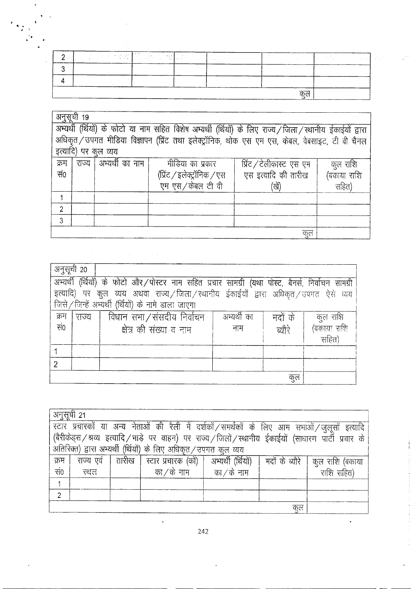| . . | $\sim$ | and the state of the state of the state of the state of the state of the state of the state of the state of the<br>The state of the state of the state of the state of the state of the state of the state of the state of the st |  | the company's company's com- | kan di kacamatan ing K<br>the state of the company's company's company's company's company's |
|-----|--------|-----------------------------------------------------------------------------------------------------------------------------------------------------------------------------------------------------------------------------------|--|------------------------------|----------------------------------------------------------------------------------------------|
|     |        |                                                                                                                                                                                                                                   |  |                              |                                                                                              |
|     |        |                                                                                                                                                                                                                                   |  |                              |                                                                                              |
|     |        |                                                                                                                                                                                                                                   |  |                              |                                                                                              |

 $\frac{1}{2}$  .

|               | अनुसूची 19                                                                                                   |                      |                                                                                                 |                     |             |  |  |  |  |
|---------------|--------------------------------------------------------------------------------------------------------------|----------------------|-------------------------------------------------------------------------------------------------|---------------------|-------------|--|--|--|--|
|               | अभ्यर्थी (र्थियों) के फोटो या नाम सहित विशेष अभ्यर्थी (र्थियों) के लिए राज्य / जिला / स्थानीय ईकाईयों द्वारा |                      |                                                                                                 |                     |             |  |  |  |  |
|               |                                                                                                              |                      | अधिकृत / उपगत मीडिया विज्ञापन (प्रिंट तथा इलेक्ट्रॉनिक, थोक एस एम एस, केबल, वेबसाइट, टी वी चैनल |                     |             |  |  |  |  |
|               |                                                                                                              | इत्यादि) पर कूल व्यय |                                                                                                 |                     |             |  |  |  |  |
| क्रम          | राज्य   अभ्यर्थी का नाम<br>मीडिया का प्रकार<br>प्रिंट / टेलीकास्ट एस एम<br>कुल राशि                          |                      |                                                                                                 |                     |             |  |  |  |  |
| सं०           |                                                                                                              |                      | (प्रिंट / इलेक्ट्रॉनिक / एस                                                                     | एस इत्यादि की तारीख | (बकाया राशि |  |  |  |  |
|               |                                                                                                              |                      | एम एस/केबल टी वी                                                                                | 'खें)               | सहित)       |  |  |  |  |
|               |                                                                                                              |                      |                                                                                                 |                     |             |  |  |  |  |
| $\mathcal{P}$ |                                                                                                              |                      |                                                                                                 |                     |             |  |  |  |  |
| 3             |                                                                                                              |                      |                                                                                                 |                     |             |  |  |  |  |
|               |                                                                                                              |                      |                                                                                                 | कुल                 |             |  |  |  |  |

| अनुसूची 20      |                                                                                                   |                                                                                 |             |         |             |  |  |  |  |
|-----------------|---------------------------------------------------------------------------------------------------|---------------------------------------------------------------------------------|-------------|---------|-------------|--|--|--|--|
|                 | अभ्यर्थी (र्थियों) के फोटो और/पोस्टर नाम सहित प्रचार सामग्री (यथा पोस्ट, बैनर्स, निर्वाचन सामग्री |                                                                                 |             |         |             |  |  |  |  |
|                 |                                                                                                   | इत्यादि) पर कूल व्यय अथवा राज्य/जिला/रथानीय ईकाईयों द्वारा अधिकृत/उपगत ऐसे व्यय |             |         |             |  |  |  |  |
|                 |                                                                                                   | जिसे/जिन्हें अभ्यर्थी (र्थियों) के नामे डाला जाएगा                              |             |         |             |  |  |  |  |
| क्रम            | राज्य                                                                                             | विधान सभा / संसदीय निर्वाचन                                                     | अभ्यर्थी का | मदों के | कुल राशि    |  |  |  |  |
| $\overline{OP}$ |                                                                                                   | क्षेत्र की संख्या व नाम                                                         | नाम         | ब्यौरे  | (बकाया राशि |  |  |  |  |
|                 |                                                                                                   |                                                                                 |             |         | सहित)       |  |  |  |  |
|                 |                                                                                                   |                                                                                 |             |         |             |  |  |  |  |
|                 |                                                                                                   |                                                                                 |             |         |             |  |  |  |  |
|                 | कुल                                                                                               |                                                                                 |             |         |             |  |  |  |  |

|          | अनुसूची 21                                                                                               |  |                                                                   |                              |                |                 |  |  |  |
|----------|----------------------------------------------------------------------------------------------------------|--|-------------------------------------------------------------------|------------------------------|----------------|-----------------|--|--|--|
|          | स्टार प्रचारकों या अन्य नेताओं की रैली में दर्शकों/समर्थकों के लिए आम सभाओं/जुलूसों इत्यादि              |  |                                                                   |                              |                |                 |  |  |  |
|          | (बैरीकेड्स / श्रव्य इत्यादि / भाड़े पर वाहन) पर राज्य / जिलों / स्थानीय ईकाईयों (साधारण पार्टी प्रचार के |  |                                                                   |                              |                |                 |  |  |  |
|          |                                                                                                          |  | अतिरिक्त) द्वारा अभ्यर्थी (र्थियों) के लिए अधिकृत / उपगत कुल व्यय |                              |                |                 |  |  |  |
| क्रम     | राज्य एवं                                                                                                |  | तारीख स्टार प्रचारक (कों)   अभ्यर्थी (थियों)                      |                              | मदों के ब्यौरे | कुल राशि (बकाया |  |  |  |
| ्<br>सं0 | स्थल                                                                                                     |  | का ⁄ के नाम                                                       | का $\sqrt{\mathfrak{G}}$ नाम |                | राशि सहित)      |  |  |  |
|          |                                                                                                          |  |                                                                   |                              |                |                 |  |  |  |
| 2        |                                                                                                          |  |                                                                   |                              |                |                 |  |  |  |
|          | कुल                                                                                                      |  |                                                                   |                              |                |                 |  |  |  |

242